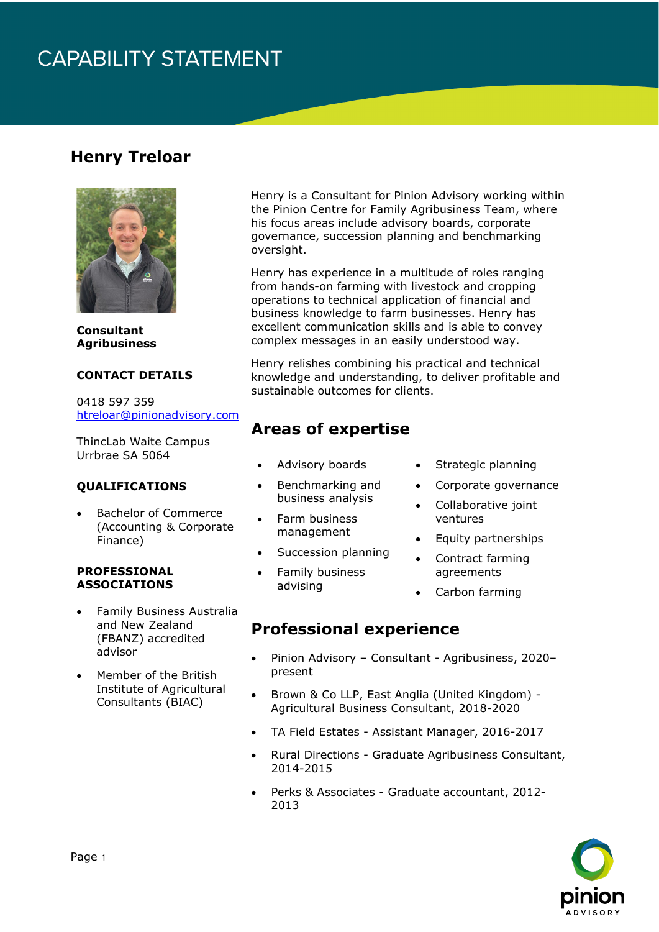## **CAPABILITY STATEMENT**

### **Henry Treloar**



**Consultant Agribusiness** 

#### **CONTACT DETAILS**

0418 597 359 [htreloar@pinionadvisory.com](mailto:htreloar@pinionadvisory.com)

ThincLab Waite Campus Urrbrae SA 5064

#### **QUALIFICATIONS**

• Bachelor of Commerce (Accounting & Corporate Finance)

#### **PROFESSIONAL ASSOCIATIONS**

- Family Business Australia and New Zealand (FBANZ) accredited advisor
- Member of the British Institute of Agricultural Consultants (BIAC)

Henry is a Consultant for Pinion Advisory working within the Pinion Centre for Family Agribusiness Team, where his focus areas include advisory boards, corporate governance, succession planning and benchmarking oversight.

Henry has experience in a multitude of roles ranging from hands-on farming with livestock and cropping operations to technical application of financial and business knowledge to farm businesses. Henry has excellent communication skills and is able to convey complex messages in an easily understood way.

Henry relishes combining his practical and technical knowledge and understanding, to deliver profitable and sustainable outcomes for clients.

### **Areas of expertise**

- Advisory boards
- Benchmarking and business analysis
- Farm business management
- Succession planning
- Family business advising
- Strategic planning
- Corporate governance
- Collaborative joint ventures
- Equity partnerships
- Contract farming agreements
- Carbon farming

### **Professional experience**

- Pinion Advisory Consultant Agribusiness, 2020– present
- Brown & Co LLP, East Anglia (United Kingdom) Agricultural Business Consultant, 2018-2020
- TA Field Estates Assistant Manager, 2016-2017
- Rural Directions Graduate Agribusiness Consultant, 2014-2015
- Perks & Associates Graduate accountant, 2012- 2013

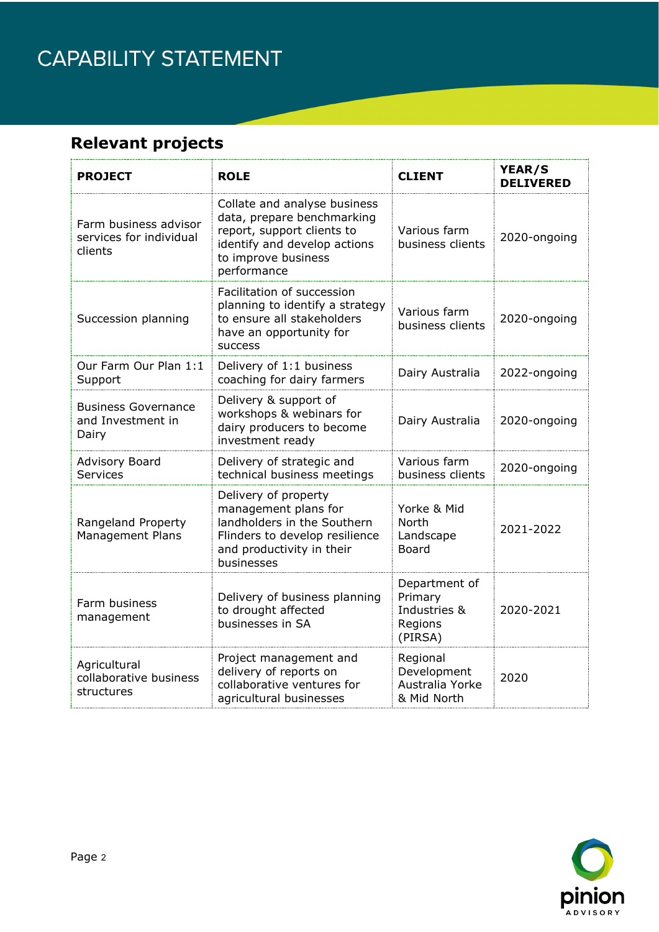## CAPABILITY STATEMENT

## **Relevant projects**

| <b>PROJECT</b>                                              | <b>ROLE</b>                                                                                                                                                    | <b>CLIENT</b>                                                  | YEAR/S<br><b>DELIVERED</b> |
|-------------------------------------------------------------|----------------------------------------------------------------------------------------------------------------------------------------------------------------|----------------------------------------------------------------|----------------------------|
| Farm business advisor<br>services for individual<br>clients | Collate and analyse business<br>data, prepare benchmarking<br>report, support clients to<br>identify and develop actions<br>to improve business<br>performance | Various farm<br>business clients                               | 2020-ongoing               |
| Succession planning                                         | Facilitation of succession<br>planning to identify a strategy<br>to ensure all stakeholders<br>have an opportunity for<br><b>SUCCESS</b>                       | Various farm<br>business clients                               | 2020-ongoing               |
| Our Farm Our Plan 1:1<br>Support                            | Delivery of 1:1 business<br>coaching for dairy farmers                                                                                                         | Dairy Australia                                                | 2022-ongoing               |
| <b>Business Governance</b><br>and Investment in<br>Dairy    | Delivery & support of<br>workshops & webinars for<br>dairy producers to become<br>investment ready                                                             | Dairy Australia                                                | 2020-ongoing               |
| <b>Advisory Board</b><br><b>Services</b>                    | Delivery of strategic and<br>technical business meetings                                                                                                       | Various farm<br>business clients                               | 2020-ongoing               |
| Rangeland Property<br><b>Management Plans</b>               | Delivery of property<br>management plans for<br>landholders in the Southern<br>Flinders to develop resilience<br>and productivity in their<br>businesses       | Yorke & Mid<br>North<br>Landscape<br><b>Board</b>              | 2021-2022                  |
| Farm business<br>management                                 | Delivery of business planning<br>to drought affected<br>businesses in SA                                                                                       | Department of<br>Primary<br>Industries &<br>Regions<br>(PIRSA) | 2020-2021                  |
| Agricultural<br>collaborative business<br>structures        | Project management and<br>delivery of reports on<br>collaborative ventures for<br>agricultural businesses                                                      | Regional<br>Development<br>Australia Yorke<br>& Mid North      | 2020                       |